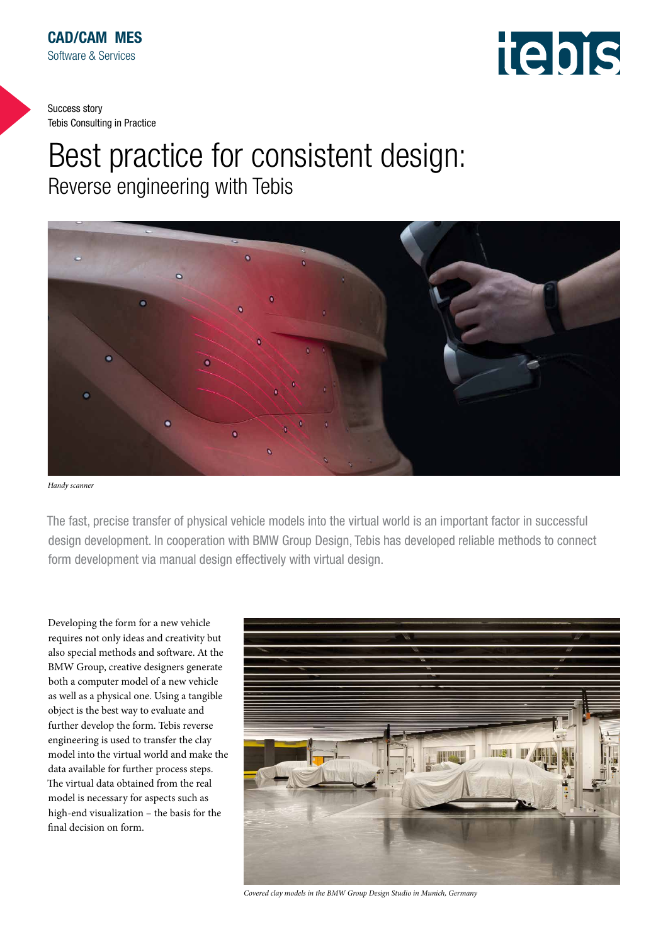

# Best practice for consistent design: Reverse engineering with Tebis



*Handy scanner*

The fast, precise transfer of physical vehicle models into the virtual world is an important factor in successful design development. In cooperation with BMW Group Design, Tebis has developed reliable methods to connect form development via manual design effectively with virtual design.

Developing the form for a new vehicle requires not only ideas and creativity but also special methods and software. At the BMW Group, creative designers generate both a computer model of a new vehicle as well as a physical one. Using a tangible object is the best way to evaluate and further develop the form. Tebis reverse engineering is used to transfer the clay model into the virtual world and make the data available for further process steps. The virtual data obtained from the real model is necessary for aspects such as high-end visualization – the basis for the final decision on form.



*Covered clay models in the BMW Group Design Studio in Munich, Germany*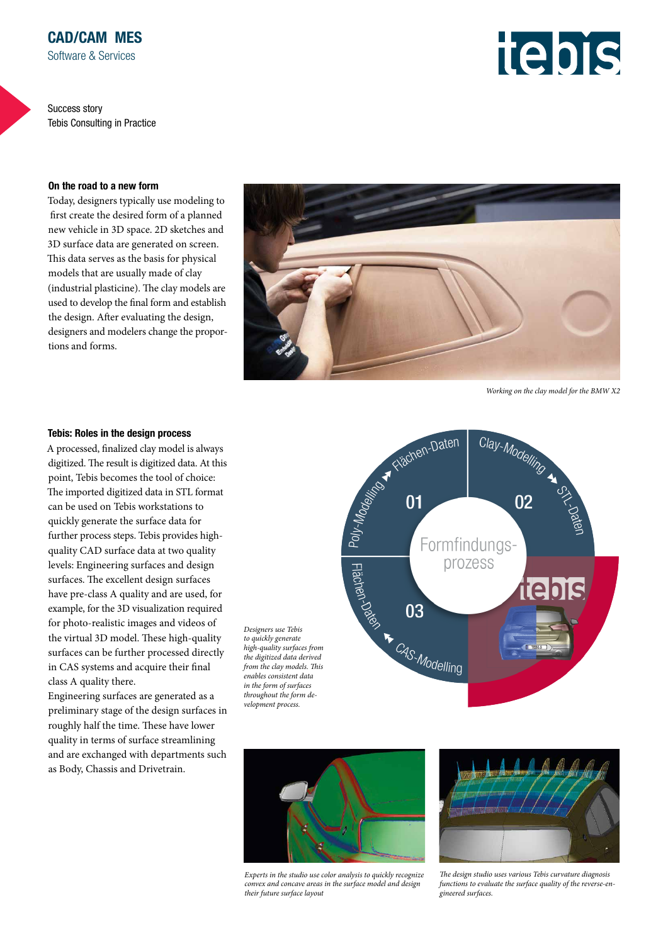#### On the road to a new form

Today, designers typically use modeling to first create the desired form of a planned new vehicle in 3D space. 2D sketches and 3D surface data are generated on screen. This data serves as the basis for physical models that are usually made of clay (industrial plasticine). The clay models are used to develop the final form and establish the design. After evaluating the design, designers and modelers change the proportions and forms.



*Working on the clay model for the BMW X2* 

#### Tebis: Roles in the design process

A processed, finalized clay model is always digitized. The result is digitized data. At this point, Tebis becomes the tool of choice: The imported digitized data in STL format can be used on Tebis workstations to quickly generate the surface data for further process steps. Tebis provides highquality CAD surface data at two quality levels: Engineering surfaces and design surfaces. The excellent design surfaces have pre-class A quality and are used, for example, for the 3D visualization required for photo-realistic images and videos of the virtual 3D model. These high-quality surfaces can be further processed directly in CAS systems and acquire their final class A quality there.

Engineering surfaces are generated as a preliminary stage of the design surfaces in roughly half the time. These have lower quality in terms of surface streamlining and are exchanged with departments such as Body, Chassis and Drivetrain.

*Designers use Tebis to quickly generate high-quality surfaces from the digitized data derived from the clay models. This enables consistent data in the form of surfaces throughout the form development process.*





*Experts in the studio use color analysis to quickly recognize convex and concave areas in the surface model and design their future surface layout*



*The design studio uses various Tebis curvature diagnosis functions to evaluate the surface quality of the reverse-engineered surfaces.*

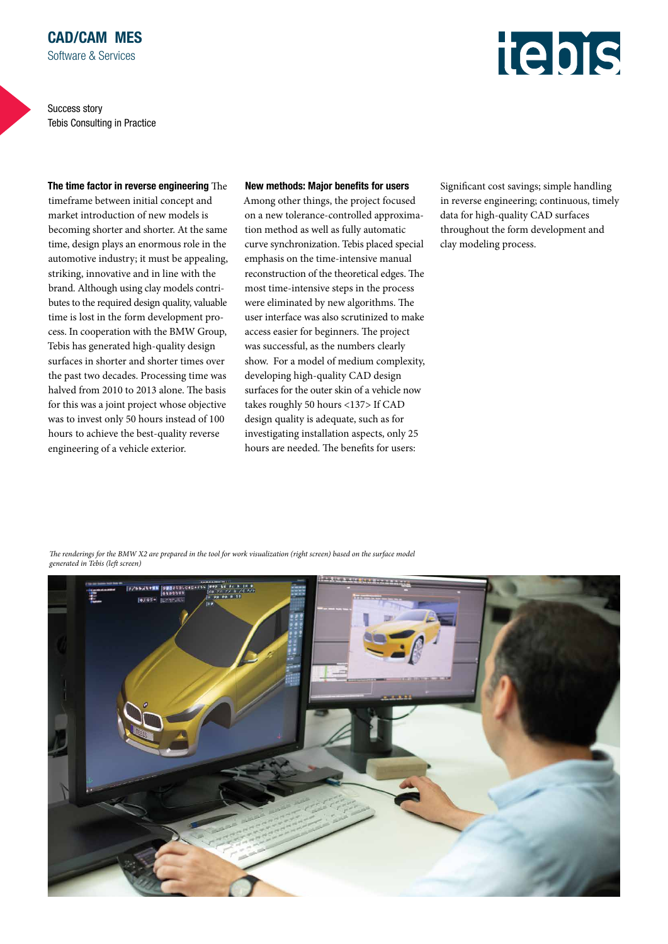

#### The time factor in reverse engineering The

timeframe between initial concept and market introduction of new models is becoming shorter and shorter. At the same time, design plays an enormous role in the automotive industry; it must be appealing, striking, innovative and in line with the brand. Although using clay models contributes to the required design quality, valuable time is lost in the form development process. In cooperation with the BMW Group, Tebis has generated high-quality design surfaces in shorter and shorter times over the past two decades. Processing time was halved from 2010 to 2013 alone. The basis for this was a joint project whose objective was to invest only 50 hours instead of 100 hours to achieve the best-quality reverse engineering of a vehicle exterior.

#### New methods: Major benefits for users

Among other things, the project focused on a new tolerance-controlled approximation method as well as fully automatic curve synchronization. Tebis placed special emphasis on the time-intensive manual reconstruction of the theoretical edges. The most time-intensive steps in the process were eliminated by new algorithms. The user interface was also scrutinized to make access easier for beginners. The project was successful, as the numbers clearly show. For a model of medium complexity, developing high-quality CAD design surfaces for the outer skin of a vehicle now takes roughly 50 hours <137> If CAD design quality is adequate, such as for investigating installation aspects, only 25 hours are needed. The benefits for users:

Significant cost savings; simple handling in reverse engineering; continuous, timely data for high-quality CAD surfaces throughout the form development and clay modeling process.

*The renderings for the BMW X2 are prepared in the tool for work visualization (right screen) based on the surface model generated in Tebis (left screen)*

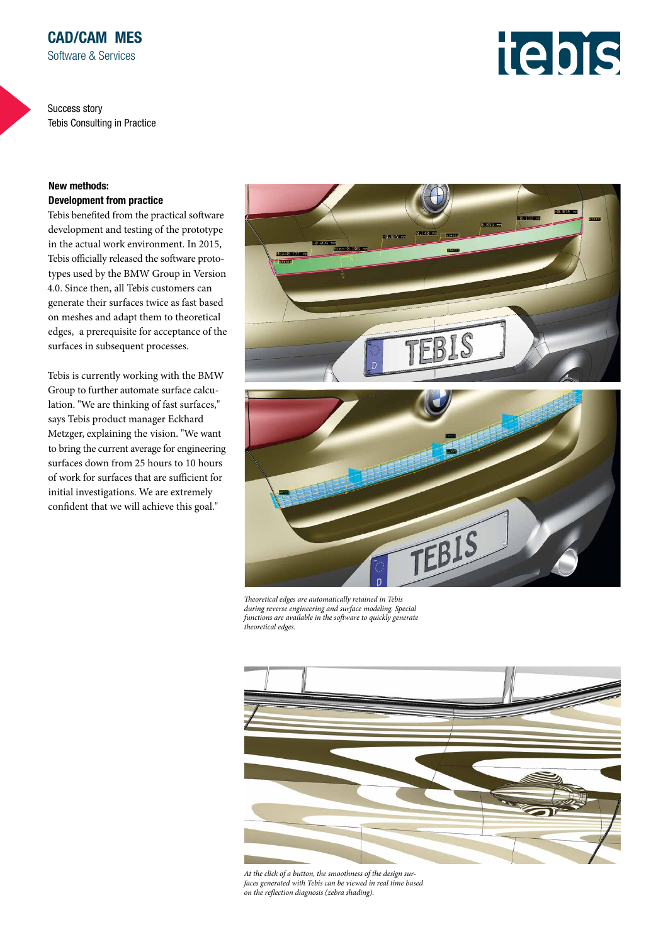### New methods: Development from practice

Tebis benefited from the practical software development and testing of the prototype in the actual work environment. In 2015, Tebis officially released the software prototypes used by the BMW Group in Version 4.0. Since then, all Tebis customers can generate their surfaces twice as fast based on meshes and adapt them to theoretical edges, a prerequisite for acceptance of the surfaces in subsequent processes.

Tebis is currently working with the BMW Group to further automate surface calculation. "We are thinking of fast surfaces," says Tebis product manager Eckhard Metzger, explaining the vision. "We want to bring the current average for engineering surfaces down from 25 hours to 10 hours of work for surfaces that are sufficient for initial investigations. We are extremely confident that we will achieve this goal."



*Theoretical edges are automatically retained in Tebis during reverse engineering and surface modeling. Special functions are available in the software to quickly generate theoretical edges.*



*At the click of a button, the smoothness of the design surfaces generated with Tebis can be viewed in real time based on the reflection diagnosis (zebra shading).*